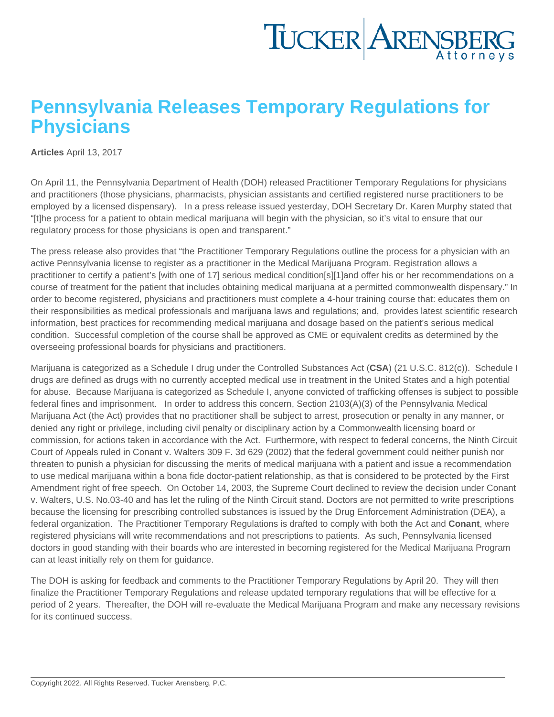## Pennsylvania Releases Temporary Regulations for **Physicians**

[Articles](https://www.tuckerlaw.com/category/articles/) April 13, 2017

On April 11, the Pennsylvania Department of Health (DOH) released [Practitioner Temporary Regulations](http://www.health.pa.gov/My Health/Diseases and Conditions/M-P/MedicalMarijuana/Documents/MM - Practitioner Temporary Regulations.pdf) for physicians and practitioners (those physicians, pharmacists, physician assistants and certified registered nurse practitioners to be employed by a licensed dispensary). In a [press release issued yesterday](http://www.media.pa.gov/Pages/Health-Details.aspx?newsid=418), DOH Secretary Dr. Karen Murphy stated that "[t]he process for a patient to obtain medical marijuana will begin with the physician, so it's vital to ensure that our regulatory process for those physicians is open and transparent."

The press release also provides that "the Practitioner Temporary Regulations outline the process for a physician with an active Pennsylvania license to register as a practitioner in the Medical Marijuana Program. Registration allows a practitioner to certify a patient's [with one of 17] serious medical condition[s][1]and offer his or her recommendations on a course of treatment for the patient that includes obtaining medical marijuana at a permitted commonwealth dispensary." In order to become registered, physicians and practitioners must complete a 4-hour training course that: educates them on their responsibilities as medical professionals and marijuana laws and regulations; and, provides latest scientific research information, best practices for recommending medical marijuana and dosage based on the patient's serious medical condition. Successful completion of the course shall be approved as CME or equivalent credits as determined by the overseeing professional boards for physicians and practitioners.

Marijuana is categorized as a Schedule I drug under the Controlled Substances Act (CSA) [\(21 U.S.C. 812\(c\)\)](http://uscode.house.gov/view.xhtml?req=(title:21 section:812 edition:prelim)). Schedule I drugs are defined as drugs with no currently accepted medical use in treatment in the United States and a high potential for abuse. Because Marijuana is categorized as Schedule I, anyone convicted of trafficking offenses is subject to possible federal fines and imprisonment. In order to address this concern, Section 2103(A)(3) of the Pennsylvania [Medical](http://www.legis.state.pa.us/cfdocs/legis/li/uconsCheck.cfm?yr=2016&sessInd=0&act=16)  [Marijuana Act](http://www.legis.state.pa.us/cfdocs/legis/li/uconsCheck.cfm?yr=2016&sessInd=0&act=16) (the Act) provides that no practitioner shall be subject to arrest, prosecution or penalty in any manner, or denied any right or privilege, including civil penalty or disciplinary action by a Commonwealth licensing board or commission, for actions taken in accordance with the Act. Furthermore, with respect to federal concerns, the Ninth Circuit Court of Appeals ruled in [Conant v. Walters](http://caselaw.findlaw.com/us-9th-circuit/1343211.html) 309 F. 3d 629 (2002) that the federal government could neither punish nor threaten to punish a physician for discussing the merits of medical marijuana with a patient and issue a recommendation to use medical marijuana within a bona fide doctor-patient relationship, as that is considered to be protected by the First Amendment right of free speech. On October 14, 2003, the Supreme Court declined to review the decision under [Conant](http://www.nytimes.com/2003/10/15/us/supreme-court-roundup-justices-say-doctors-may-not-be-punished-for-recommending.html)  [v. Walters, U.S. No.03-40](http://www.nytimes.com/2003/10/15/us/supreme-court-roundup-justices-say-doctors-may-not-be-punished-for-recommending.html) and has let the ruling of the Ninth Circuit stand. Doctors are not permitted to write prescriptions because the licensing for prescribing controlled substances is issued by the Drug Enforcement Administration (DEA), a federal organization. The Practitioner Temporary Regulations is drafted to comply with both the Act and Conant , where registered physicians will write recommendations and not prescriptions to patients. As such, Pennsylvania licensed doctors in good standing with their boards who are interested in becoming registered for the Medical Marijuana Program can at least initially rely on them for guidance.

The DOH is asking for [feedback](https://www.surveymonkey.com/r/JNV7BYD) and comments to the Practitioner Temporary Regulations by April 20. They will then finalize the Practitioner Temporary Regulations and release updated temporary regulations that will be effective for a period of 2 years. Thereafter, the DOH will re-evaluate the Medical Marijuana Program and make any necessary revisions for its continued success.